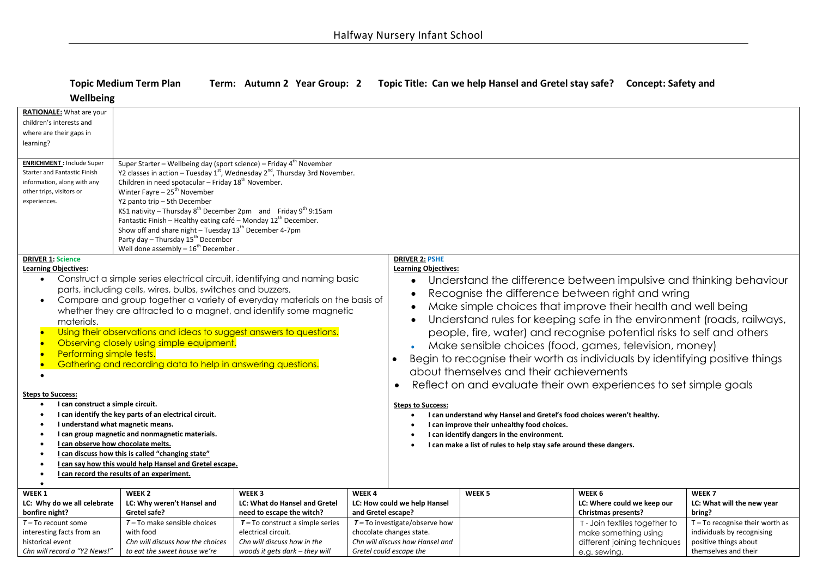## **Topic Medium Term Plan Term: Autumn 2 Year Group: 2 Topic Title: Can we help Hansel and Gretel stay safe? Concept: Safety and**

 $W$ 

*Chn will record a "Y2 News!"* 

*to eat the sweet house we're* 

*woods it gets dark – they will* 

| wellbeing                                                                                                                                                                                                                                                                                                                                                                                                                                                                                                                                                                                           |                                                                                                                                                                                                                                                                                                                                                                                                                                                                                                                                                                                                                                                        |                                                                                                            |                             |                                                                                                                                                                                                                                                                                                                                                                                                                                                                                                                                                                                                                                                                                                                              |                   |                                                                                                      |                                                                                                |  |  |
|-----------------------------------------------------------------------------------------------------------------------------------------------------------------------------------------------------------------------------------------------------------------------------------------------------------------------------------------------------------------------------------------------------------------------------------------------------------------------------------------------------------------------------------------------------------------------------------------------------|--------------------------------------------------------------------------------------------------------------------------------------------------------------------------------------------------------------------------------------------------------------------------------------------------------------------------------------------------------------------------------------------------------------------------------------------------------------------------------------------------------------------------------------------------------------------------------------------------------------------------------------------------------|------------------------------------------------------------------------------------------------------------|-----------------------------|------------------------------------------------------------------------------------------------------------------------------------------------------------------------------------------------------------------------------------------------------------------------------------------------------------------------------------------------------------------------------------------------------------------------------------------------------------------------------------------------------------------------------------------------------------------------------------------------------------------------------------------------------------------------------------------------------------------------------|-------------------|------------------------------------------------------------------------------------------------------|------------------------------------------------------------------------------------------------|--|--|
| RATIONALE: What are your<br>children's interests and<br>where are their gaps in<br>learning?                                                                                                                                                                                                                                                                                                                                                                                                                                                                                                        |                                                                                                                                                                                                                                                                                                                                                                                                                                                                                                                                                                                                                                                        |                                                                                                            |                             |                                                                                                                                                                                                                                                                                                                                                                                                                                                                                                                                                                                                                                                                                                                              |                   |                                                                                                      |                                                                                                |  |  |
| <b>ENRICHMENT: Include Super</b><br><b>Starter and Fantastic Finish</b><br>information, along with any<br>other trips, visitors or<br>experiences.                                                                                                                                                                                                                                                                                                                                                                                                                                                  | Super Starter - Wellbeing day (sport science) - Friday 4 <sup>th</sup> November<br>Y2 classes in action - Tuesday $1^{st}$ , Wednesday $2^{nd}$ , Thursday 3rd November.<br>Children in need spotacular - Friday 18 <sup>th</sup> November.<br>Winter Fayre - 25 <sup>th</sup> November<br>Y2 panto trip - 5th December<br>KS1 nativity - Thursday $8^{th}$ December 2pm and Friday $9^{th}$ 9:15am<br>Fantastic Finish - Healthy eating café - Monday 12 <sup>th</sup> December.<br>Show off and share night $-$ Tuesday 13 <sup>th</sup> December 4-7pm<br>Party day - Thursday 15 <sup>th</sup> December<br>Well done assembly $-16^{th}$ December. |                                                                                                            |                             |                                                                                                                                                                                                                                                                                                                                                                                                                                                                                                                                                                                                                                                                                                                              |                   |                                                                                                      |                                                                                                |  |  |
| <b>DRIVER 1: Science</b><br><b>Learning Objectives:</b><br>Construct a simple series electrical circuit, identifying and naming basic<br>$\bullet$<br>parts, including cells, wires, bulbs, switches and buzzers.<br>Compare and group together a variety of everyday materials on the basis of<br>whether they are attracted to a magnet, and identify some magnetic<br>materials.<br>Using their observations and ideas to suggest answers to questions.<br>Observing closely using simple equipment.<br>Performing simple tests.<br>Gathering and recording data to help in answering questions. |                                                                                                                                                                                                                                                                                                                                                                                                                                                                                                                                                                                                                                                        |                                                                                                            |                             | <b>DRIVER 2: PSHE</b><br><b>Learning Objectives:</b><br>Understand the difference between impulsive and thinking behaviour<br>$\bullet$<br>Recognise the difference between right and wring<br>$\bullet$<br>Make simple choices that improve their health and well being<br>$\bullet$<br>Understand rules for keeping safe in the environment (roads, railways,<br>$\bullet$<br>people, fire, water) and recognise potential risks to self and others<br>Make sensible choices (food, games, television, money)<br>Begin to recognise their worth as individuals by identifying positive things<br>$\bullet$<br>about themselves and their achievements<br>Reflect on and evaluate their own experiences to set simple goals |                   |                                                                                                      |                                                                                                |  |  |
| <b>Steps to Success:</b><br>I can construct a simple circuit.<br>I can identify the key parts of an electrical circuit.<br>I understand what magnetic means.<br>I can group magnetic and nonmagnetic materials.<br>I can observe how chocolate melts.<br>I can discuss how this is called "changing state"<br>I can say how this would help Hansel and Gretel escape.<br>I can record the results of an experiment.<br>$\bullet$<br>$\bullet$                                                                                                                                                       |                                                                                                                                                                                                                                                                                                                                                                                                                                                                                                                                                                                                                                                        |                                                                                                            |                             | <b>Steps to Success:</b><br>I can understand why Hansel and Gretel's food choices weren't healthy.<br>I can improve their unhealthy food choices.<br>I can identify dangers in the environment.<br>$\bullet$<br>I can make a list of rules to help stay safe around these dangers.                                                                                                                                                                                                                                                                                                                                                                                                                                           |                   |                                                                                                      |                                                                                                |  |  |
| WEEK <sub>1</sub><br>LC: Why do we all celebrate<br>bonfire night?<br>$T - To$ recount some                                                                                                                                                                                                                                                                                                                                                                                                                                                                                                         | WEEK <sub>2</sub><br>LC: Why weren't Hansel and<br>Gretel safe?<br>$T$ – To make sensible choices                                                                                                                                                                                                                                                                                                                                                                                                                                                                                                                                                      | WEEK 3<br>LC: What do Hansel and Gretel<br>need to escape the witch?<br>$T - To construct a simple series$ | WEEK4<br>and Gretel escape? | LC: How could we help Hansel<br>$T$ – To investigate/observe how                                                                                                                                                                                                                                                                                                                                                                                                                                                                                                                                                                                                                                                             | WEEK <sub>5</sub> | WEEK 6<br>LC: Where could we keep our<br><b>Christmas presents?</b><br>T - Join textiles together to | WEEK <sub>7</sub><br>LC: What will the new year<br>bring?<br>$T - To recognize their worth as$ |  |  |
| interesting facts from an<br>historical event                                                                                                                                                                                                                                                                                                                                                                                                                                                                                                                                                       | with food<br>electrical circuit.<br>Chn will discuss how the choices<br>Chn will discuss how in the                                                                                                                                                                                                                                                                                                                                                                                                                                                                                                                                                    |                                                                                                            |                             | chocolate changes state.<br>Chn will discuss how Hansel and                                                                                                                                                                                                                                                                                                                                                                                                                                                                                                                                                                                                                                                                  |                   | make something using<br>different joining techniques                                                 | individuals by recognising<br>positive things about                                            |  |  |

*Gretel could escape the* 

e.g. sewing.

themselves and their